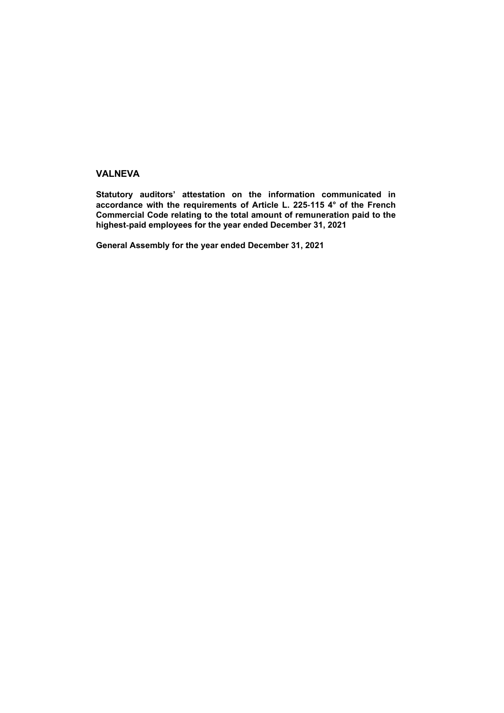## **VALNEVA**

**Statutory auditors' attestation on the information communicated in accordance with the requirements of Article L. 225**‑**115 4° of the French Commercial Code relating to the total amount of remuneration paid to the highest**‑**paid employees for the year ended December 31, 2021**

**General Assembly for the year ended December 31, 2021**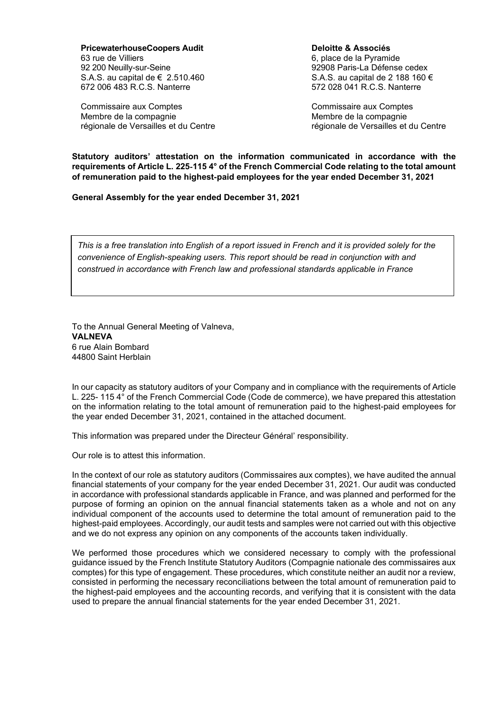**PricewaterhouseCoopers Audit** 63 rue de Villiers 92 200 Neuilly-sur-Seine S.A.S. au capital de € 2.510.460 672 006 483 R.C.S. Nanterre

Commissaire aux Comptes Membre de la compagnie régionale de Versailles et du Centre **Deloitte & Associés** 6, place de la Pyramide 92908 Paris-La Défense cedex S.A.S. au capital de 2 188 160 € 572 028 041 R.C.S. Nanterre

Commissaire aux Comptes Membre de la compagnie régionale de Versailles et du Centre

**Statutory auditors' attestation on the information communicated in accordance with the requirements of Article L. 225**‑**115 4° of the French Commercial Code relating to the total amount of remuneration paid to the highest**‑**paid employees for the year ended December 31, 2021**

**General Assembly for the year ended December 31, 2021**

*This is a free translation into English of a report issued in French and it is provided solely for the convenience of English-speaking users. This report should be read in conjunction with and construed in accordance with French law and professional standards applicable in France*

To the Annual General Meeting of Valneva, **VALNEVA** 6 rue Alain Bombard 44800 Saint Herblain

In our capacity as statutory auditors of your Company and in compliance with the requirements of Article L. 225- 115 4° of the French Commercial Code (Code de commerce), we have prepared this attestation on the information relating to the total amount of remuneration paid to the highest-paid employees for the year ended December 31, 2021, contained in the attached document.

This information was prepared under the Directeur Général' responsibility.

Our role is to attest this information.

In the context of our role as statutory auditors (Commissaires aux comptes), we have audited the annual financial statements of your company for the year ended December 31, 2021. Our audit was conducted in accordance with professional standards applicable in France, and was planned and performed for the purpose of forming an opinion on the annual financial statements taken as a whole and not on any individual component of the accounts used to determine the total amount of remuneration paid to the highest-paid employees. Accordingly, our audit tests and samples were not carried out with this objective and we do not express any opinion on any components of the accounts taken individually.

We performed those procedures which we considered necessary to comply with the professional guidance issued by the French Institute Statutory Auditors (Compagnie nationale des commissaires aux comptes) for this type of engagement. These procedures, which constitute neither an audit nor a review, consisted in performing the necessary reconciliations between the total amount of remuneration paid to the highest-paid employees and the accounting records, and verifying that it is consistent with the data used to prepare the annual financial statements for the year ended December 31, 2021.